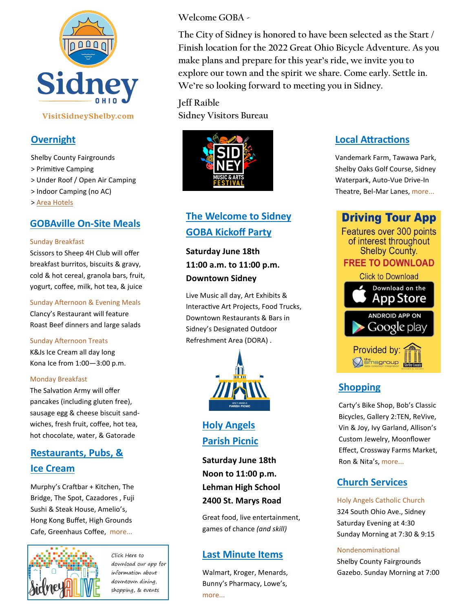

VisitSidneyShelby.com

### **Overnight**

Shelby County Fairgrounds > Primitive Camping

> Under Roof / Open Air Camping

> Indoor Camping (no AC)

> [Area Hotels](https://www.visitsidneyshelby.com/hotel-accommodations/)

#### **GOBAville On-Site Meals**

#### Sunday Breakfast

Scissors to Sheep 4H Club will offer breakfast burritos, biscuits & gravy, cold & hot cereal, granola bars, fruit, yogurt, coffee, milk, hot tea, & juice

Sunday Afternoon & Evening Meals Clancy's Restaurant will feature Roast Beef dinners and large salads

#### Sunday Afternoon Treats

K&Js Ice Cream all day long Kona Ice from 1:00—3:00 p.m.

#### Monday Breakfast

The Salvation Army will offer pancakes (including gluten free), sausage egg & cheese biscuit sandwiches, fresh fruit, coffee, hot tea, hot chocolate, water, & Gatorade

## **[Restaurants, Pubs, &](https://www.visitsidneyshelby.com/restaurants/)  [Ice Cream](https://www.visitsidneyshelby.com/restaurants/)**

Murphy'[s Craftbar + Kitchen, The](https://www.visitsidneyshelby.com/restaurants/)  [Bridge, The Spot, Cazadores , Fuji](https://www.visitsidneyshelby.com/restaurants/)  [Sushi & Steak House, Amelio](https://www.visitsidneyshelby.com/restaurants/)'s, [Hong Kong Buffet, High Grounds](https://www.visitsidneyshelby.com/restaurants/)  [Cafe, Greenhaus Coffee, more...](https://www.visitsidneyshelby.com/restaurants/)



Click Here to download our app for information about downtown dining, shopping, & events

**Welcome GOBA -**

**The City of Sidney is honored to have been selected as the Start / Finish location for the 2022 Great Ohio Bicycle Adventure. As you make plans and prepare for this year's ride, we invite you to explore our town and the spirit we share. Come early. Settle in. We're so looking forward to meeting you in Sidney.**

**Jeff Raible Sidney Visitors Bureau**



## **[The Welcome to Sidney](https://sidneyalive.org/musicandartsfest/)  [GOBA Kickoff Party](https://sidneyalive.org/musicandartsfest/)**

**Saturday June 18th 11:00 a.m. to 11:00 p.m. Downtown Sidney**

[Live Music all day, Art Exhibits &](https://sidneyalive.org/musicandartsfest/)  [Interactive Art Projects, Food Trucks,](https://sidneyalive.org/musicandartsfest/)  Downtown Restaurants & Bars in Sidney's Designated Outdoor Refreshment Area (DORA) .



**Holy Angels Parish Picnic**

**Saturday June 18th Noon to 11:00 p.m. Lehman High School 2400 St. Marys Road** 

Great food, live entertainment, games of chance *(and skill)*

### **[Last Minute Items](https://web.sidneyshelbychamber.com/search)**

[Walmart, Kroger, Menards,](https://web.sidneyshelbychamber.com/search)  Bunny'[s Pharmacy, Lowe](https://web.sidneyshelbychamber.com/search)'s, [more...](https://web.sidneyshelbychamber.com/search) 

### **Local [Attractions](https://www.visitsidneyshelby.com/sites-and-attractions/)**

[Vandemark Farm, Tawawa Park,](https://www.visitsidneyshelby.com/sites-and-attractions/)  [Shelby Oaks Golf Course, Sidney](https://www.visitsidneyshelby.com/sites-and-attractions/)  [Waterpark, Auto](https://www.visitsidneyshelby.com/sites-and-attractions/)-Vue Drive-In Theatre, Bel-[Mar Lanes, more...](https://www.visitsidneyshelby.com/sites-and-attractions/) 

**Driving Tour App** Features over 300 points of interest throughout **Shelby County. FREE TO DOWNLOAD Click to Download** Download on the App Store **ANDROID APP ON** Google play Provided by: **O** smsgroup

## **[Shopping](https://www.visitsidneyshelby.com/shopping/)**

Carty'[s Bike Shop, Bob](https://www.visitsidneyshelby.com/shopping/)'s Classic [Bicycles, Gallery 2:TEN, ReVive,](https://www.visitsidneyshelby.com/shopping/)  [Vin & Joy, Ivy Garland, Allison](https://www.visitsidneyshelby.com/shopping/)'s [Custom Jewelry, Moonflower](https://www.visitsidneyshelby.com/shopping/)  [Effect, Crossway Farms Market,](https://www.visitsidneyshelby.com/shopping/)  [Ron & Nita](https://www.visitsidneyshelby.com/shopping/)'s, more...

## **Church Services**

[Holy Angels Catholic Church](http://holyangelssidney.com/)  324 South Ohio Ave., Sidney Saturday Evening at 4:30 Sunday Morning at 7:30 & 9:15

#### Nondenominational

Shelby County Fairgrounds Gazebo. Sunday Morning at 7:00